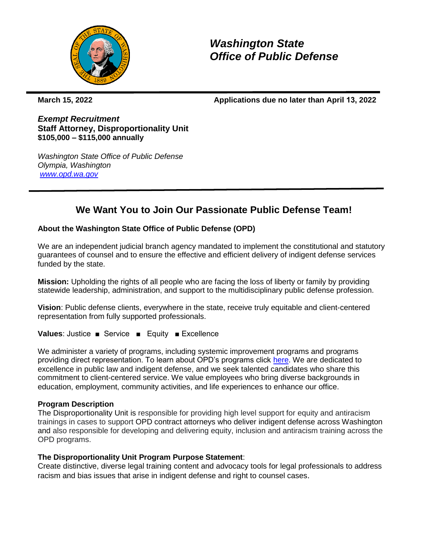

*Washington State Office of Public Defense*

**March 15, 2022 Applications due no later than April 13, 2022** 

*Exempt Recruitment* **Staff Attorney, Disproportionality Unit \$105,000 – \$115,000 annually**

*Washington State Office of Public Defense Olympia, Washington [www.opd.wa.gov](http://www.opd.wa.gov/)*

# **We Want You to Join Our Passionate Public Defense Team!**

## **About the Washington State Office of Public Defense (OPD)**

We are an independent judicial branch agency mandated to implement the constitutional and statutory guarantees of counsel and to ensure the effective and efficient delivery of indigent defense services funded by the state.

**Mission:** Upholding the rights of all people who are facing the loss of liberty or family by providing statewide leadership, administration, and support to the multidisciplinary public defense profession.

**Vision**: Public defense clients, everywhere in the state, receive truly equitable and client-centered representation from fully supported professionals.

**Values**: Justice ■ Service ■ Equity ■ Excellence

We administer a variety of programs, including systemic improvement programs and programs providing direct representation. To learn about OPD's programs click [here.](https://opd.wa.gov/program/parents-representation) We are dedicated to excellence in public law and indigent defense, and we seek talented candidates who share this commitment to client-centered service. We value employees who bring diverse backgrounds in education, employment, community activities, and life experiences to enhance our office.

## **Program Description**

The Disproportionality Unit is responsible for providing high level support for equity and antiracism trainings in cases to support OPD contract attorneys who deliver indigent defense across Washington and also responsible for developing and delivering equity, inclusion and antiracism training across the OPD programs.

## **The Disproportionality Unit Program Purpose Statement**:

Create distinctive, diverse legal training content and advocacy tools for legal professionals to address racism and bias issues that arise in indigent defense and right to counsel cases.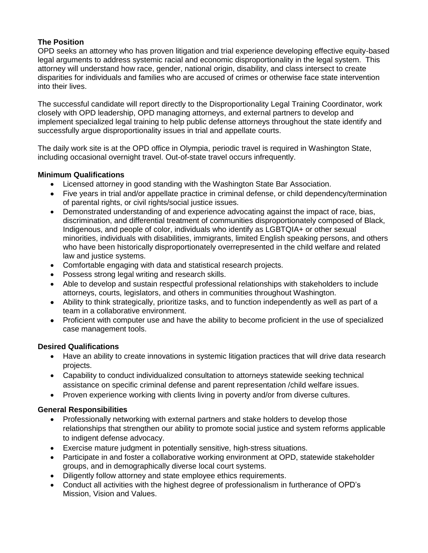# **The Position**

OPD seeks an attorney who has proven litigation and trial experience developing effective equity-based legal arguments to address systemic racial and economic disproportionality in the legal system. This attorney will understand how race, gender, national origin, disability, and class intersect to create disparities for individuals and families who are accused of crimes or otherwise face state intervention into their lives.

The successful candidate will report directly to the Disproportionality Legal Training Coordinator, work closely with OPD leadership, OPD managing attorneys, and external partners to develop and implement specialized legal training to help public defense attorneys throughout the state identify and successfully argue disproportionality issues in trial and appellate courts.

The daily work site is at the OPD office in Olympia, periodic travel is required in Washington State, including occasional overnight travel. Out-of-state travel occurs infrequently.

## **Minimum Qualifications**

- Licensed attorney in good standing with the Washington State Bar Association.
- Five years in trial and/or appellate practice in criminal defense, or child dependency/termination of parental rights, or civil rights/social justice issues.
- Demonstrated understanding of and experience advocating against the impact of race, bias, discrimination, and differential treatment of communities disproportionately composed of Black, Indigenous, and people of color, individuals who identify as LGBTQIA+ or other sexual minorities, individuals with disabilities, immigrants, limited English speaking persons, and others who have been historically disproportionately overrepresented in the child welfare and related law and justice systems.
- Comfortable engaging with data and statistical research projects.
- Possess strong legal writing and research skills.
- Able to develop and sustain respectful professional relationships with stakeholders to include attorneys, courts, legislators, and others in communities throughout Washington.
- Ability to think strategically, prioritize tasks, and to function independently as well as part of a team in a collaborative environment.
- Proficient with computer use and have the ability to become proficient in the use of specialized case management tools.

## **Desired Qualifications**

- Have an ability to create innovations in systemic litigation practices that will drive data research projects.
- Capability to conduct individualized consultation to attorneys statewide seeking technical assistance on specific criminal defense and parent representation /child welfare issues.
- Proven experience working with clients living in poverty and/or from diverse cultures.

## **General Responsibilities**

- Professionally networking with external partners and stake holders to develop those relationships that strengthen our ability to promote social justice and system reforms applicable to indigent defense advocacy.
- Exercise mature judgment in potentially sensitive, high-stress situations.
- Participate in and foster a collaborative working environment at OPD, statewide stakeholder groups, and in demographically diverse local court systems.
- Diligently follow attorney and state employee ethics requirements.
- Conduct all activities with the highest degree of professionalism in furtherance of OPD's Mission, Vision and Values.